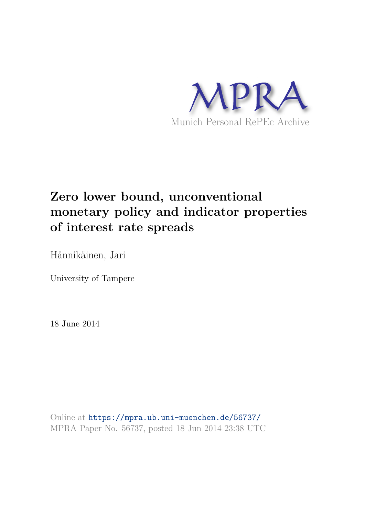

## **Zero lower bound, unconventional monetary policy and indicator properties of interest rate spreads**

Hännikäinen, Jari

University of Tampere

18 June 2014

Online at https://mpra.ub.uni-muenchen.de/56737/ MPRA Paper No. 56737, posted 18 Jun 2014 23:38 UTC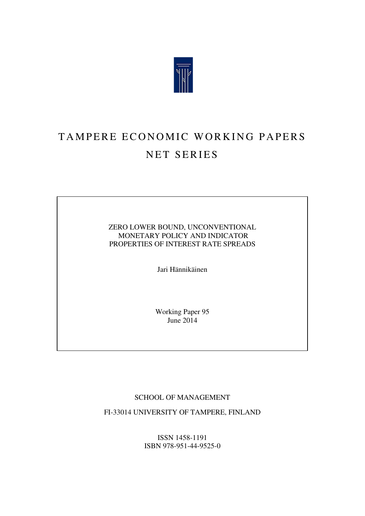

## TAMPERE ECONOMIC WORKING PAPERS NET SERIES

ZERO LOWER BOUND, UNCONVENTIONAL MONETARY POLICY AND INDICATOR PROPERTIES OF INTEREST RATE SPREADS

Jari Hännikäinen

Working Paper 95 June  $2014$ 

#### SCHOOL OF MANAGEMENT

FI-33014 UNIVERSITY OF TAMPERE, FINLAND

ISSN 1458-1191 ISBN 978-951-44-9525-0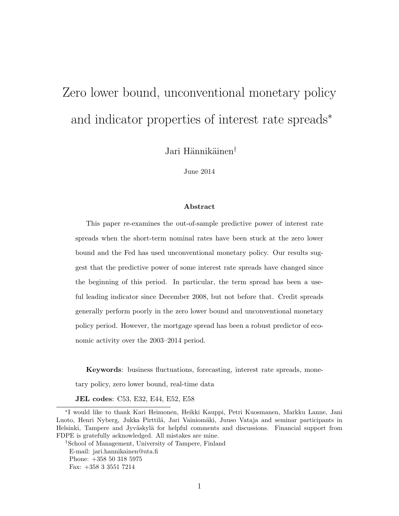# Zero lower bound, unconventional monetary policy and indicator properties of interest rate spreads<sup>∗</sup>

Jari Hännikäinen<sup>†</sup>

June 2014

#### Abstract

This paper re-examines the out-of-sample predictive power of interest rate spreads when the short-term nominal rates have been stuck at the zero lower bound and the Fed has used unconventional monetary policy. Our results suggest that the predictive power of some interest rate spreads have changed since the beginning of this period. In particular, the term spread has been a useful leading indicator since December 2008, but not before that. Credit spreads generally perform poorly in the zero lower bound and unconventional monetary policy period. However, the mortgage spread has been a robust predictor of economic activity over the 2003–2014 period.

Keywords: business fluctuations, forecasting, interest rate spreads, mone-

tary policy, zero lower bound, real-time data

JEL codes: C53, E32, E44, E52, E58

<sup>∗</sup> I would like to thank Kari Heimonen, Heikki Kauppi, Petri Kuosmanen, Markku Lanne, Jani Luoto, Henri Nyberg, Jukka Pirttilä, Jari Vainiomäki, Juuso Vataja and seminar participants in Helsinki, Tampere and Jyväskylä for helpful comments and discussions. Financial support from FDPE is gratefully acknowledged. All mistakes are mine.

<sup>†</sup>School of Management, University of Tampere, Finland E-mail: jari.hannikainen@uta.fi Phone: +358 50 318 5975 Fax: +358 3 3551 7214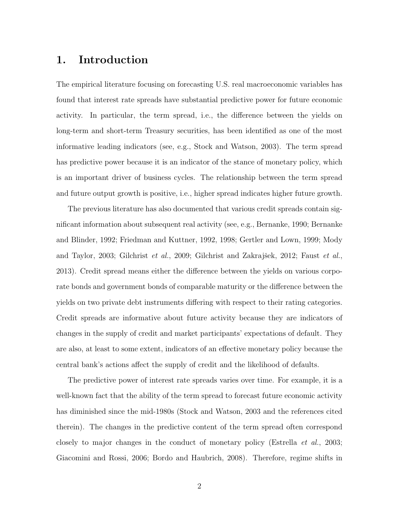### 1. Introduction

The empirical literature focusing on forecasting U.S. real macroeconomic variables has found that interest rate spreads have substantial predictive power for future economic activity. In particular, the term spread, i.e., the difference between the yields on long-term and short-term Treasury securities, has been identified as one of the most informative leading indicators (see, e.g., Stock and Watson, 2003). The term spread has predictive power because it is an indicator of the stance of monetary policy, which is an important driver of business cycles. The relationship between the term spread and future output growth is positive, i.e., higher spread indicates higher future growth.

The previous literature has also documented that various credit spreads contain significant information about subsequent real activity (see, e.g., Bernanke, 1990; Bernanke and Blinder, 1992; Friedman and Kuttner, 1992, 1998; Gertler and Lown, 1999; Mody and Taylor, 2003; Gilchrist et al., 2009; Gilchrist and Zakrajšek, 2012; Faust et al., 2013). Credit spread means either the difference between the yields on various corporate bonds and government bonds of comparable maturity or the difference between the yields on two private debt instruments differing with respect to their rating categories. Credit spreads are informative about future activity because they are indicators of changes in the supply of credit and market participants' expectations of default. They are also, at least to some extent, indicators of an effective monetary policy because the central bank's actions affect the supply of credit and the likelihood of defaults.

The predictive power of interest rate spreads varies over time. For example, it is a well-known fact that the ability of the term spread to forecast future economic activity has diminished since the mid-1980s (Stock and Watson, 2003 and the references cited therein). The changes in the predictive content of the term spread often correspond closely to major changes in the conduct of monetary policy (Estrella et al., 2003; Giacomini and Rossi, 2006; Bordo and Haubrich, 2008). Therefore, regime shifts in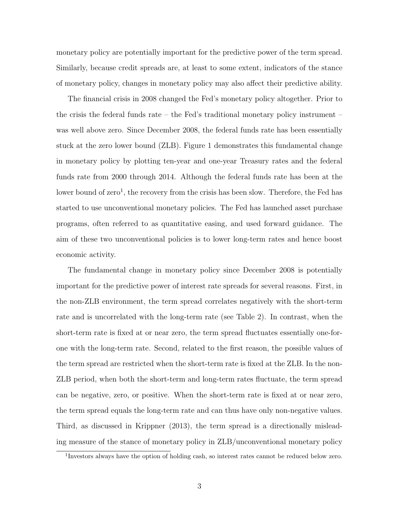monetary policy are potentially important for the predictive power of the term spread. Similarly, because credit spreads are, at least to some extent, indicators of the stance of monetary policy, changes in monetary policy may also affect their predictive ability.

The financial crisis in 2008 changed the Fed's monetary policy altogether. Prior to the crisis the federal funds rate – the Fed's traditional monetary policy instrument – was well above zero. Since December 2008, the federal funds rate has been essentially stuck at the zero lower bound (ZLB). Figure 1 demonstrates this fundamental change in monetary policy by plotting ten-year and one-year Treasury rates and the federal funds rate from 2000 through 2014. Although the federal funds rate has been at the lower bound of zero<sup>1</sup>, the recovery from the crisis has been slow. Therefore, the Fed has started to use unconventional monetary policies. The Fed has launched asset purchase programs, often referred to as quantitative easing, and used forward guidance. The aim of these two unconventional policies is to lower long-term rates and hence boost economic activity.

The fundamental change in monetary policy since December 2008 is potentially important for the predictive power of interest rate spreads for several reasons. First, in the non-ZLB environment, the term spread correlates negatively with the short-term rate and is uncorrelated with the long-term rate (see Table 2). In contrast, when the short-term rate is fixed at or near zero, the term spread fluctuates essentially one-forone with the long-term rate. Second, related to the first reason, the possible values of the term spread are restricted when the short-term rate is fixed at the ZLB. In the non-ZLB period, when both the short-term and long-term rates fluctuate, the term spread can be negative, zero, or positive. When the short-term rate is fixed at or near zero, the term spread equals the long-term rate and can thus have only non-negative values. Third, as discussed in Krippner (2013), the term spread is a directionally misleading measure of the stance of monetary policy in ZLB/unconventional monetary policy

<sup>&</sup>lt;sup>1</sup>Investors always have the option of holding cash, so interest rates cannot be reduced below zero.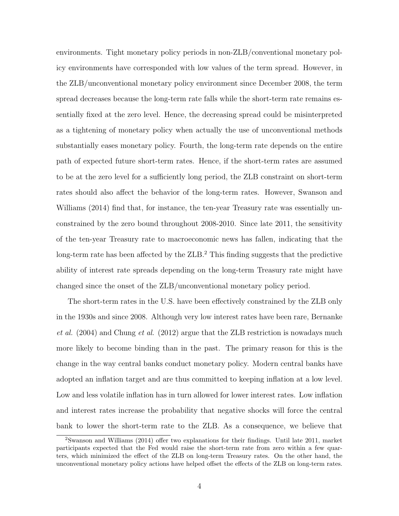environments. Tight monetary policy periods in non-ZLB/conventional monetary policy environments have corresponded with low values of the term spread. However, in the ZLB/unconventional monetary policy environment since December 2008, the term spread decreases because the long-term rate falls while the short-term rate remains essentially fixed at the zero level. Hence, the decreasing spread could be misinterpreted as a tightening of monetary policy when actually the use of unconventional methods substantially eases monetary policy. Fourth, the long-term rate depends on the entire path of expected future short-term rates. Hence, if the short-term rates are assumed to be at the zero level for a sufficiently long period, the ZLB constraint on short-term rates should also affect the behavior of the long-term rates. However, Swanson and Williams (2014) find that, for instance, the ten-year Treasury rate was essentially unconstrained by the zero bound throughout 2008-2010. Since late 2011, the sensitivity of the ten-year Treasury rate to macroeconomic news has fallen, indicating that the long-term rate has been affected by the  $ZLB$ .<sup>2</sup> This finding suggests that the predictive ability of interest rate spreads depending on the long-term Treasury rate might have changed since the onset of the ZLB/unconventional monetary policy period.

The short-term rates in the U.S. have been effectively constrained by the ZLB only in the 1930s and since 2008. Although very low interest rates have been rare, Bernanke et al. (2004) and Chung et al. (2012) argue that the ZLB restriction is nowadays much more likely to become binding than in the past. The primary reason for this is the change in the way central banks conduct monetary policy. Modern central banks have adopted an inflation target and are thus committed to keeping inflation at a low level. Low and less volatile inflation has in turn allowed for lower interest rates. Low inflation and interest rates increase the probability that negative shocks will force the central bank to lower the short-term rate to the ZLB. As a consequence, we believe that

<sup>2</sup>Swanson and Williams (2014) offer two explanations for their findings. Until late 2011, market participants expected that the Fed would raise the short-term rate from zero within a few quarters, which minimized the effect of the ZLB on long-term Treasury rates. On the other hand, the unconventional monetary policy actions have helped offset the effects of the ZLB on long-term rates.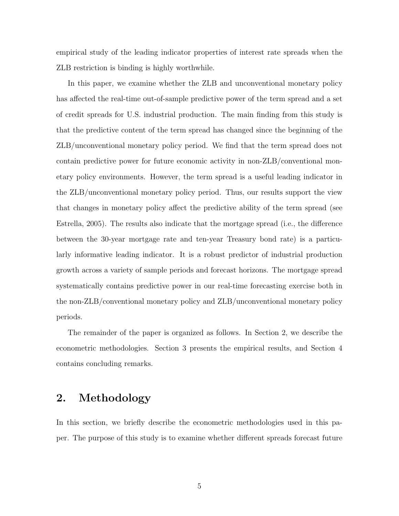empirical study of the leading indicator properties of interest rate spreads when the ZLB restriction is binding is highly worthwhile.

In this paper, we examine whether the ZLB and unconventional monetary policy has affected the real-time out-of-sample predictive power of the term spread and a set of credit spreads for U.S. industrial production. The main finding from this study is that the predictive content of the term spread has changed since the beginning of the ZLB/unconventional monetary policy period. We find that the term spread does not contain predictive power for future economic activity in non-ZLB/conventional monetary policy environments. However, the term spread is a useful leading indicator in the ZLB/unconventional monetary policy period. Thus, our results support the view that changes in monetary policy affect the predictive ability of the term spread (see Estrella, 2005). The results also indicate that the mortgage spread (i.e., the difference between the 30-year mortgage rate and ten-year Treasury bond rate) is a particularly informative leading indicator. It is a robust predictor of industrial production growth across a variety of sample periods and forecast horizons. The mortgage spread systematically contains predictive power in our real-time forecasting exercise both in the non-ZLB/conventional monetary policy and ZLB/unconventional monetary policy periods.

The remainder of the paper is organized as follows. In Section 2, we describe the econometric methodologies. Section 3 presents the empirical results, and Section 4 contains concluding remarks.

#### 2. Methodology

In this section, we briefly describe the econometric methodologies used in this paper. The purpose of this study is to examine whether different spreads forecast future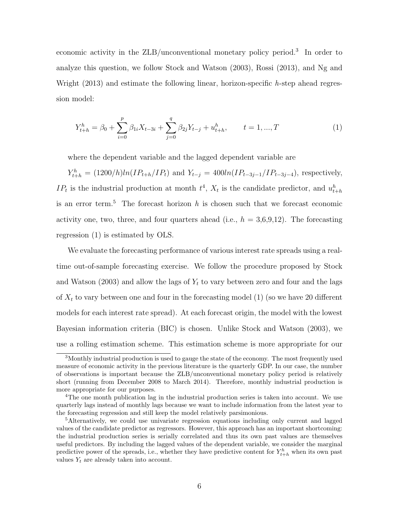economic activity in the ZLB/unconventional monetary policy period.<sup>3</sup> In order to analyze this question, we follow Stock and Watson (2003), Rossi (2013), and Ng and Wright  $(2013)$  and estimate the following linear, horizon-specific h-step ahead regression model:

$$
Y_{t+h}^h = \beta_0 + \sum_{i=0}^p \beta_{1i} X_{t-3i} + \sum_{j=0}^q \beta_{2j} Y_{t-j} + u_{t+h}^h, \qquad t = 1, ..., T
$$
 (1)

where the dependent variable and the lagged dependent variable are

 $Y_{t+h}^h = (1200/h)ln(IP_{t+h}/IP_t)$  and  $Y_{t-j} = 400ln(IP_{t-3j-1}/IP_{t-3j-4})$ , respectively,  $IP_t$  is the industrial production at month  $t^4$ ,  $X_t$  is the candidate predictor, and  $u_{t+h}^h$ is an error term.<sup>5</sup> The forecast horizon h is chosen such that we forecast economic activity one, two, three, and four quarters ahead (i.e.,  $h = 3,6,9,12$ ). The forecasting regression (1) is estimated by OLS.

We evaluate the forecasting performance of various interest rate spreads using a realtime out-of-sample forecasting exercise. We follow the procedure proposed by Stock and Watson (2003) and allow the lags of  $Y_t$  to vary between zero and four and the lags of  $X_t$  to vary between one and four in the forecasting model (1) (so we have 20 different models for each interest rate spread). At each forecast origin, the model with the lowest Bayesian information criteria (BIC) is chosen. Unlike Stock and Watson (2003), we use a rolling estimation scheme. This estimation scheme is more appropriate for our

<sup>3</sup>Monthly industrial production is used to gauge the state of the economy. The most frequently used measure of economic activity in the previous literature is the quarterly GDP. In our case, the number of observations is important because the ZLB/unconventional monetary policy period is relatively short (running from December 2008 to March 2014). Therefore, monthly industrial production is more appropriate for our purposes.

<sup>4</sup>The one month publication lag in the industrial production series is taken into account. We use quarterly lags instead of monthly lags because we want to include information from the latest year to the forecasting regression and still keep the model relatively parsimonious.

<sup>5</sup>Alternatively, we could use univariate regression equations including only current and lagged values of the candidate predictor as regressors. However, this approach has an important shortcoming: the industrial production series is serially correlated and thus its own past values are themselves useful predictors. By including the lagged values of the dependent variable, we consider the marginal predictive power of the spreads, i.e., whether they have predictive content for  $Y_{t+h}^h$  when its own past values  $Y_t$  are already taken into account.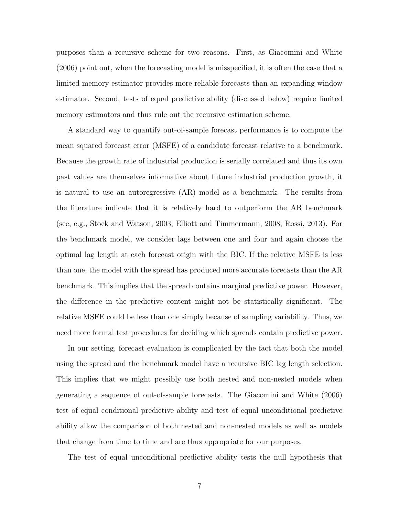purposes than a recursive scheme for two reasons. First, as Giacomini and White (2006) point out, when the forecasting model is misspecified, it is often the case that a limited memory estimator provides more reliable forecasts than an expanding window estimator. Second, tests of equal predictive ability (discussed below) require limited memory estimators and thus rule out the recursive estimation scheme.

A standard way to quantify out-of-sample forecast performance is to compute the mean squared forecast error (MSFE) of a candidate forecast relative to a benchmark. Because the growth rate of industrial production is serially correlated and thus its own past values are themselves informative about future industrial production growth, it is natural to use an autoregressive (AR) model as a benchmark. The results from the literature indicate that it is relatively hard to outperform the AR benchmark (see, e.g., Stock and Watson, 2003; Elliott and Timmermann, 2008; Rossi, 2013). For the benchmark model, we consider lags between one and four and again choose the optimal lag length at each forecast origin with the BIC. If the relative MSFE is less than one, the model with the spread has produced more accurate forecasts than the AR benchmark. This implies that the spread contains marginal predictive power. However, the difference in the predictive content might not be statistically significant. The relative MSFE could be less than one simply because of sampling variability. Thus, we need more formal test procedures for deciding which spreads contain predictive power.

In our setting, forecast evaluation is complicated by the fact that both the model using the spread and the benchmark model have a recursive BIC lag length selection. This implies that we might possibly use both nested and non-nested models when generating a sequence of out-of-sample forecasts. The Giacomini and White (2006) test of equal conditional predictive ability and test of equal unconditional predictive ability allow the comparison of both nested and non-nested models as well as models that change from time to time and are thus appropriate for our purposes.

The test of equal unconditional predictive ability tests the null hypothesis that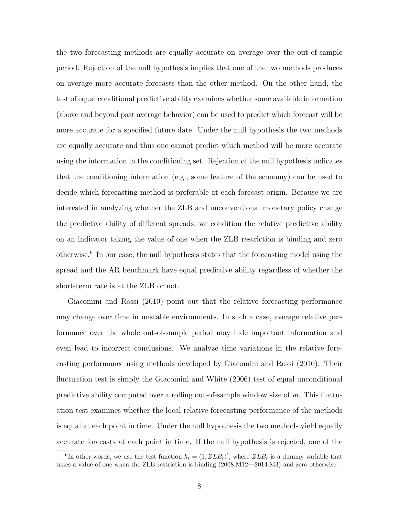the two forecasting methods are equally accurate on average over the out-of-sample period. Rejection of the null hypothesis implies that one of the two methods produces on average more accurate forecasts than the other method. On the other hand, the test of equal conditional predictive ability examines whether some available information (above and beyond past average behavior) can be used to predict which forecast will be more accurate for a specified future date. Under the null hypothesis the two methods are equally accurate and thus one cannot predict which method will be more accurate using the information in the conditioning set. Rejection of the null hypothesis indicates that the conditioning information (e.g., some feature of the economy) can be used to decide which forecasting method is preferable at each forecast origin. Because we are interested in analyzing whether the ZLB and unconventional monetary policy change the predictive ability of different spreads, we condition the relative predictive ability on an indicator taking the value of one when the ZLB restriction is binding and zero otherwise.<sup>6</sup> In our case, the null hypothesis states that the forecasting model using the spread and the AR benchmark have equal predictive ability regardless of whether the short-term rate is at the ZLB or not.

Giacomini and Rossi (2010) point out that the relative forecasting performance may change over time in unstable environments. In such a case, average relative performance over the whole out-of-sample period may hide important information and even lead to incorrect conclusions. We analyze time variations in the relative forecasting performance using methods developed by Giacomini and Rossi (2010). Their fluctuation test is simply the Giacomini and White (2006) test of equal unconditional predictive ability computed over a rolling out-of-sample window size of m. This fluctuation test examines whether the local relative forecasting performance of the methods is equal at each point in time. Under the null hypothesis the two methods yield equally accurate forecasts at each point in time. If the null hypothesis is rejected, one of the

<sup>&</sup>lt;sup>6</sup>In other words, we use the test function  $h_t = (1, ZLB_t)'$ , where  $ZLB_t$  is a dummy variable that takes a value of one when the ZLB restriction is binding (2008:M12—2014:M3) and zero otherwise.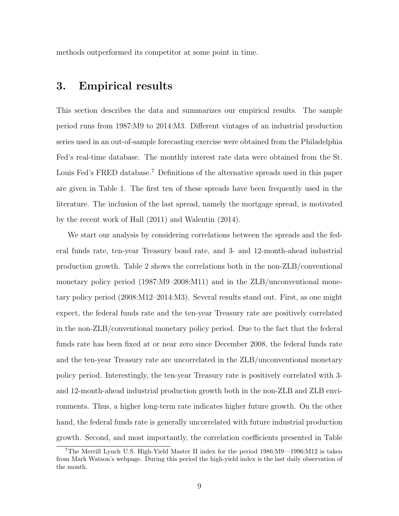methods outperformed its competitor at some point in time.

#### 3. Empirical results

This section describes the data and summarizes our empirical results. The sample period runs from 1987:M9 to 2014:M3. Different vintages of an industrial production series used in an out-of-sample forecasting exercise were obtained from the Philadelphia Fed's real-time database. The monthly interest rate data were obtained from the St. Louis Fed's FRED database.<sup>7</sup> Definitions of the alternative spreads used in this paper are given in Table 1. The first ten of these spreads have been frequently used in the literature. The inclusion of the last spread, namely the mortgage spread, is motivated by the recent work of Hall (2011) and Walentin (2014).

We start our analysis by considering correlations between the spreads and the federal funds rate, ten-year Treasury bond rate, and 3- and 12-month-ahead industrial production growth. Table 2 shows the correlations both in the non-ZLB/conventional monetary policy period (1987:M9–2008:M11) and in the ZLB/unconventional monetary policy period (2008:M12–2014:M3). Several results stand out. First, as one might expect, the federal funds rate and the ten-year Treasury rate are positively correlated in the non-ZLB/conventional monetary policy period. Due to the fact that the federal funds rate has been fixed at or near zero since December 2008, the federal funds rate and the ten-year Treasury rate are uncorrelated in the ZLB/unconventional monetary policy period. Interestingly, the ten-year Treasury rate is positively correlated with 3 and 12-month-ahead industrial production growth both in the non-ZLB and ZLB environments. Thus, a higher long-term rate indicates higher future growth. On the other hand, the federal funds rate is generally uncorrelated with future industrial production growth. Second, and most importantly, the correlation coefficients presented in Table

<sup>7</sup>The Merrill Lynch U.S. High-Yield Master II index for the period 1986:M9—1996:M12 is taken from Mark Watson's webpage. During this period the high-yield index is the last daily observation of the month.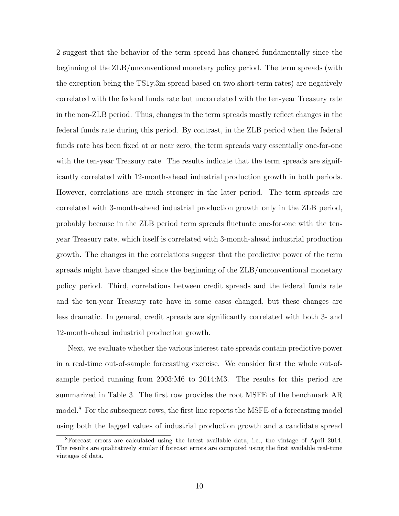2 suggest that the behavior of the term spread has changed fundamentally since the beginning of the ZLB/unconventional monetary policy period. The term spreads (with the exception being the TS1y.3m spread based on two short-term rates) are negatively correlated with the federal funds rate but uncorrelated with the ten-year Treasury rate in the non-ZLB period. Thus, changes in the term spreads mostly reflect changes in the federal funds rate during this period. By contrast, in the ZLB period when the federal funds rate has been fixed at or near zero, the term spreads vary essentially one-for-one with the ten-year Treasury rate. The results indicate that the term spreads are significantly correlated with 12-month-ahead industrial production growth in both periods. However, correlations are much stronger in the later period. The term spreads are correlated with 3-month-ahead industrial production growth only in the ZLB period, probably because in the ZLB period term spreads fluctuate one-for-one with the tenyear Treasury rate, which itself is correlated with 3-month-ahead industrial production growth. The changes in the correlations suggest that the predictive power of the term spreads might have changed since the beginning of the ZLB/unconventional monetary policy period. Third, correlations between credit spreads and the federal funds rate and the ten-year Treasury rate have in some cases changed, but these changes are less dramatic. In general, credit spreads are significantly correlated with both 3- and 12-month-ahead industrial production growth.

Next, we evaluate whether the various interest rate spreads contain predictive power in a real-time out-of-sample forecasting exercise. We consider first the whole out-ofsample period running from 2003:M6 to 2014:M3. The results for this period are summarized in Table 3. The first row provides the root MSFE of the benchmark AR model.<sup>8</sup> For the subsequent rows, the first line reports the MSFE of a forecasting model using both the lagged values of industrial production growth and a candidate spread

<sup>8</sup>Forecast errors are calculated using the latest available data, i.e., the vintage of April 2014. The results are qualitatively similar if forecast errors are computed using the first available real-time vintages of data.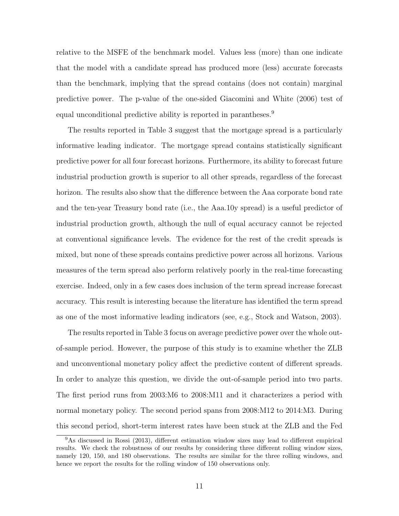relative to the MSFE of the benchmark model. Values less (more) than one indicate that the model with a candidate spread has produced more (less) accurate forecasts than the benchmark, implying that the spread contains (does not contain) marginal predictive power. The p-value of the one-sided Giacomini and White (2006) test of equal unconditional predictive ability is reported in parantheses.<sup>9</sup>

The results reported in Table 3 suggest that the mortgage spread is a particularly informative leading indicator. The mortgage spread contains statistically significant predictive power for all four forecast horizons. Furthermore, its ability to forecast future industrial production growth is superior to all other spreads, regardless of the forecast horizon. The results also show that the difference between the Aaa corporate bond rate and the ten-year Treasury bond rate (i.e., the Aaa.10y spread) is a useful predictor of industrial production growth, although the null of equal accuracy cannot be rejected at conventional significance levels. The evidence for the rest of the credit spreads is mixed, but none of these spreads contains predictive power across all horizons. Various measures of the term spread also perform relatively poorly in the real-time forecasting exercise. Indeed, only in a few cases does inclusion of the term spread increase forecast accuracy. This result is interesting because the literature has identified the term spread as one of the most informative leading indicators (see, e.g., Stock and Watson, 2003).

The results reported in Table 3 focus on average predictive power over the whole outof-sample period. However, the purpose of this study is to examine whether the ZLB and unconventional monetary policy affect the predictive content of different spreads. In order to analyze this question, we divide the out-of-sample period into two parts. The first period runs from 2003:M6 to 2008:M11 and it characterizes a period with normal monetary policy. The second period spans from 2008:M12 to 2014:M3. During this second period, short-term interest rates have been stuck at the ZLB and the Fed

<sup>9</sup>As discussed in Rossi (2013), different estimation window sizes may lead to different empirical results. We check the robustness of our results by considering three different rolling window sizes, namely 120, 150, and 180 observations. The results are similar for the three rolling windows, and hence we report the results for the rolling window of 150 observations only.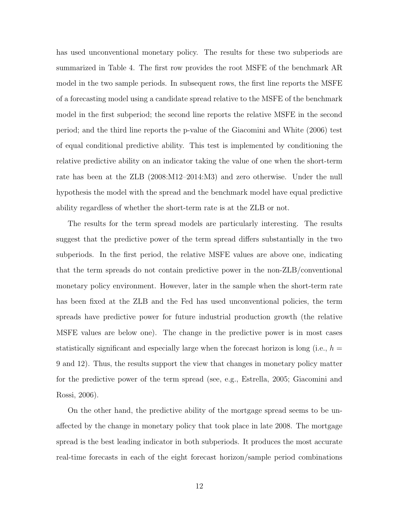has used unconventional monetary policy. The results for these two subperiods are summarized in Table 4. The first row provides the root MSFE of the benchmark AR model in the two sample periods. In subsequent rows, the first line reports the MSFE of a forecasting model using a candidate spread relative to the MSFE of the benchmark model in the first subperiod; the second line reports the relative MSFE in the second period; and the third line reports the p-value of the Giacomini and White (2006) test of equal conditional predictive ability. This test is implemented by conditioning the relative predictive ability on an indicator taking the value of one when the short-term rate has been at the ZLB (2008:M12–2014:M3) and zero otherwise. Under the null hypothesis the model with the spread and the benchmark model have equal predictive ability regardless of whether the short-term rate is at the ZLB or not.

The results for the term spread models are particularly interesting. The results suggest that the predictive power of the term spread differs substantially in the two subperiods. In the first period, the relative MSFE values are above one, indicating that the term spreads do not contain predictive power in the non-ZLB/conventional monetary policy environment. However, later in the sample when the short-term rate has been fixed at the ZLB and the Fed has used unconventional policies, the term spreads have predictive power for future industrial production growth (the relative MSFE values are below one). The change in the predictive power is in most cases statistically significant and especially large when the forecast horizon is long (i.e.,  $h =$ 9 and 12). Thus, the results support the view that changes in monetary policy matter for the predictive power of the term spread (see, e.g., Estrella, 2005; Giacomini and Rossi, 2006).

On the other hand, the predictive ability of the mortgage spread seems to be unaffected by the change in monetary policy that took place in late 2008. The mortgage spread is the best leading indicator in both subperiods. It produces the most accurate real-time forecasts in each of the eight forecast horizon/sample period combinations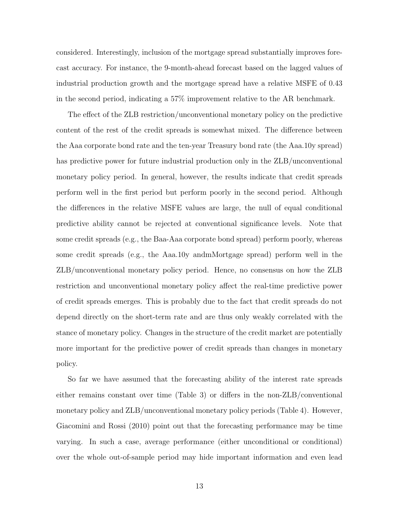considered. Interestingly, inclusion of the mortgage spread substantially improves forecast accuracy. For instance, the 9-month-ahead forecast based on the lagged values of industrial production growth and the mortgage spread have a relative MSFE of 0.43 in the second period, indicating a 57% improvement relative to the AR benchmark.

The effect of the ZLB restriction/unconventional monetary policy on the predictive content of the rest of the credit spreads is somewhat mixed. The difference between the Aaa corporate bond rate and the ten-year Treasury bond rate (the Aaa.10y spread) has predictive power for future industrial production only in the ZLB/unconventional monetary policy period. In general, however, the results indicate that credit spreads perform well in the first period but perform poorly in the second period. Although the differences in the relative MSFE values are large, the null of equal conditional predictive ability cannot be rejected at conventional significance levels. Note that some credit spreads (e.g., the Baa-Aaa corporate bond spread) perform poorly, whereas some credit spreads (e.g., the Aaa.10y andmMortgage spread) perform well in the ZLB/unconventional monetary policy period. Hence, no consensus on how the ZLB restriction and unconventional monetary policy affect the real-time predictive power of credit spreads emerges. This is probably due to the fact that credit spreads do not depend directly on the short-term rate and are thus only weakly correlated with the stance of monetary policy. Changes in the structure of the credit market are potentially more important for the predictive power of credit spreads than changes in monetary policy.

So far we have assumed that the forecasting ability of the interest rate spreads either remains constant over time (Table 3) or differs in the non-ZLB/conventional monetary policy and ZLB/unconventional monetary policy periods (Table 4). However, Giacomini and Rossi (2010) point out that the forecasting performance may be time varying. In such a case, average performance (either unconditional or conditional) over the whole out-of-sample period may hide important information and even lead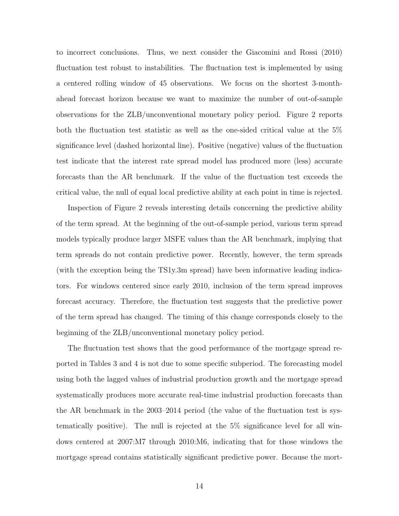to incorrect conclusions. Thus, we next consider the Giacomini and Rossi (2010) fluctuation test robust to instabilities. The fluctuation test is implemented by using a centered rolling window of 45 observations. We focus on the shortest 3-monthahead forecast horizon because we want to maximize the number of out-of-sample observations for the ZLB/unconventional monetary policy period. Figure 2 reports both the fluctuation test statistic as well as the one-sided critical value at the 5% significance level (dashed horizontal line). Positive (negative) values of the fluctuation test indicate that the interest rate spread model has produced more (less) accurate forecasts than the AR benchmark. If the value of the fluctuation test exceeds the critical value, the null of equal local predictive ability at each point in time is rejected.

Inspection of Figure 2 reveals interesting details concerning the predictive ability of the term spread. At the beginning of the out-of-sample period, various term spread models typically produce larger MSFE values than the AR benchmark, implying that term spreads do not contain predictive power. Recently, however, the term spreads (with the exception being the TS1y.3m spread) have been informative leading indicators. For windows centered since early 2010, inclusion of the term spread improves forecast accuracy. Therefore, the fluctuation test suggests that the predictive power of the term spread has changed. The timing of this change corresponds closely to the beginning of the ZLB/unconventional monetary policy period.

The fluctuation test shows that the good performance of the mortgage spread reported in Tables 3 and 4 is not due to some specific subperiod. The forecasting model using both the lagged values of industrial production growth and the mortgage spread systematically produces more accurate real-time industrial production forecasts than the AR benchmark in the 2003–2014 period (the value of the fluctuation test is systematically positive). The null is rejected at the 5% significance level for all windows centered at 2007:M7 through 2010:M6, indicating that for those windows the mortgage spread contains statistically significant predictive power. Because the mort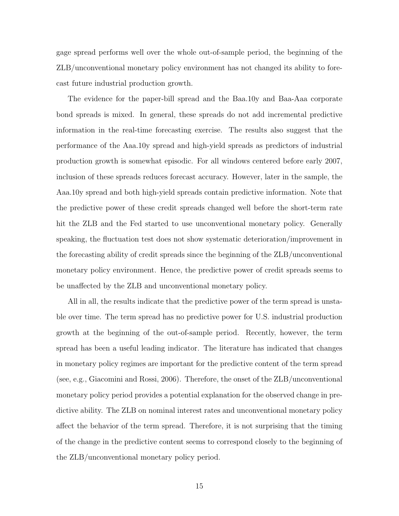gage spread performs well over the whole out-of-sample period, the beginning of the ZLB/unconventional monetary policy environment has not changed its ability to forecast future industrial production growth.

The evidence for the paper-bill spread and the Baa.10y and Baa-Aaa corporate bond spreads is mixed. In general, these spreads do not add incremental predictive information in the real-time forecasting exercise. The results also suggest that the performance of the Aaa.10y spread and high-yield spreads as predictors of industrial production growth is somewhat episodic. For all windows centered before early 2007, inclusion of these spreads reduces forecast accuracy. However, later in the sample, the Aaa.10y spread and both high-yield spreads contain predictive information. Note that the predictive power of these credit spreads changed well before the short-term rate hit the ZLB and the Fed started to use unconventional monetary policy. Generally speaking, the fluctuation test does not show systematic deterioration/improvement in the forecasting ability of credit spreads since the beginning of the ZLB/unconventional monetary policy environment. Hence, the predictive power of credit spreads seems to be unaffected by the ZLB and unconventional monetary policy.

All in all, the results indicate that the predictive power of the term spread is unstable over time. The term spread has no predictive power for U.S. industrial production growth at the beginning of the out-of-sample period. Recently, however, the term spread has been a useful leading indicator. The literature has indicated that changes in monetary policy regimes are important for the predictive content of the term spread (see, e.g., Giacomini and Rossi, 2006). Therefore, the onset of the ZLB/unconventional monetary policy period provides a potential explanation for the observed change in predictive ability. The ZLB on nominal interest rates and unconventional monetary policy affect the behavior of the term spread. Therefore, it is not surprising that the timing of the change in the predictive content seems to correspond closely to the beginning of the ZLB/unconventional monetary policy period.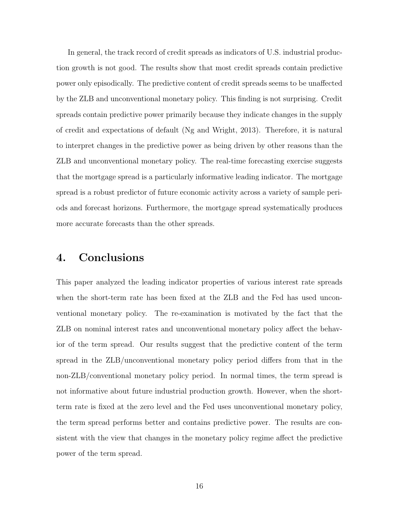In general, the track record of credit spreads as indicators of U.S. industrial production growth is not good. The results show that most credit spreads contain predictive power only episodically. The predictive content of credit spreads seems to be unaffected by the ZLB and unconventional monetary policy. This finding is not surprising. Credit spreads contain predictive power primarily because they indicate changes in the supply of credit and expectations of default (Ng and Wright, 2013). Therefore, it is natural to interpret changes in the predictive power as being driven by other reasons than the ZLB and unconventional monetary policy. The real-time forecasting exercise suggests that the mortgage spread is a particularly informative leading indicator. The mortgage spread is a robust predictor of future economic activity across a variety of sample periods and forecast horizons. Furthermore, the mortgage spread systematically produces more accurate forecasts than the other spreads.

#### 4. Conclusions

This paper analyzed the leading indicator properties of various interest rate spreads when the short-term rate has been fixed at the ZLB and the Fed has used unconventional monetary policy. The re-examination is motivated by the fact that the ZLB on nominal interest rates and unconventional monetary policy affect the behavior of the term spread. Our results suggest that the predictive content of the term spread in the ZLB/unconventional monetary policy period differs from that in the non-ZLB/conventional monetary policy period. In normal times, the term spread is not informative about future industrial production growth. However, when the shortterm rate is fixed at the zero level and the Fed uses unconventional monetary policy, the term spread performs better and contains predictive power. The results are consistent with the view that changes in the monetary policy regime affect the predictive power of the term spread.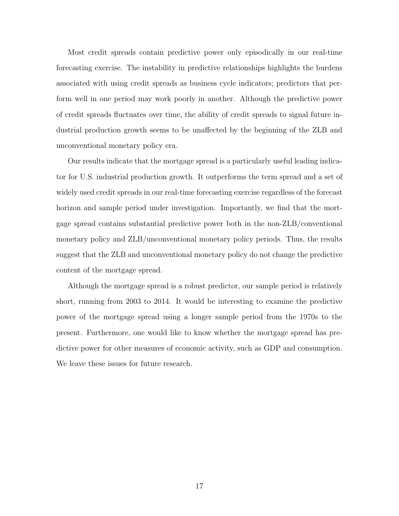Most credit spreads contain predictive power only episodically in our real-time forecasting exercise. The instability in predictive relationships highlights the burdens associated with using credit spreads as business cycle indicators; predictors that perform well in one period may work poorly in another. Although the predictive power of credit spreads fluctuates over time, the ability of credit spreads to signal future industrial production growth seems to be unaffected by the beginning of the ZLB and unconventional monetary policy era.

Our results indicate that the mortgage spread is a particularly useful leading indicator for U.S. industrial production growth. It outperforms the term spread and a set of widely used credit spreads in our real-time forecasting exercise regardless of the forecast horizon and sample period under investigation. Importantly, we find that the mortgage spread contains substantial predictive power both in the non-ZLB/conventional monetary policy and ZLB/unconventional monetary policy periods. Thus, the results suggest that the ZLB and unconventional monetary policy do not change the predictive content of the mortgage spread.

Although the mortgage spread is a robust predictor, our sample period is relatively short, running from 2003 to 2014. It would be interesting to examine the predictive power of the mortgage spread using a longer sample period from the 1970s to the present. Furthermore, one would like to know whether the mortgage spread has predictive power for other measures of economic activity, such as GDP and consumption. We leave these issues for future research.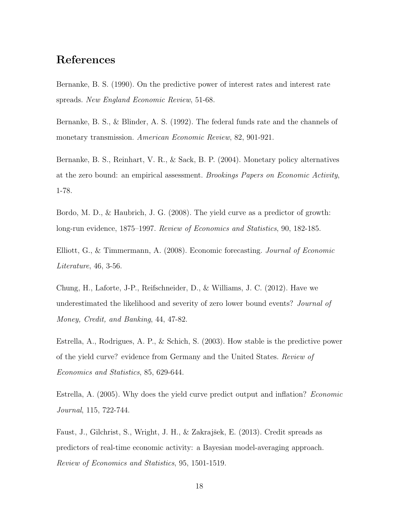#### References

Bernanke, B. S. (1990). On the predictive power of interest rates and interest rate spreads. New England Economic Review, 51-68.

Bernanke, B. S., & Blinder, A. S. (1992). The federal funds rate and the channels of monetary transmission. American Economic Review, 82, 901-921.

Bernanke, B. S., Reinhart, V. R., & Sack, B. P. (2004). Monetary policy alternatives at the zero bound: an empirical assessment. Brookings Papers on Economic Activity, 1-78.

Bordo, M. D., & Haubrich, J. G. (2008). The yield curve as a predictor of growth: long-run evidence, 1875–1997. Review of Economics and Statistics, 90, 182-185.

Elliott, G., & Timmermann, A. (2008). Economic forecasting. Journal of Economic Literature, 46, 3-56.

Chung, H., Laforte, J-P., Reifschneider, D., & Williams, J. C. (2012). Have we underestimated the likelihood and severity of zero lower bound events? Journal of Money, Credit, and Banking, 44, 47-82.

Estrella, A., Rodrigues, A. P., & Schich, S. (2003). How stable is the predictive power of the yield curve? evidence from Germany and the United States. Review of Economics and Statistics, 85, 629-644.

Estrella, A. (2005). Why does the yield curve predict output and inflation? Economic Journal, 115, 722-744.

Faust, J., Gilchrist, S., Wright, J. H., & Zakrajšek, E.  $(2013)$ . Credit spreads as predictors of real-time economic activity: a Bayesian model-averaging approach. Review of Economics and Statistics, 95, 1501-1519.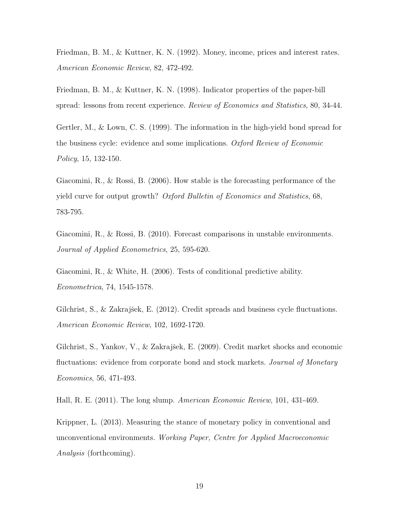Friedman, B. M., & Kuttner, K. N. (1992). Money, income, prices and interest rates. American Economic Review, 82, 472-492.

Friedman, B. M., & Kuttner, K. N. (1998). Indicator properties of the paper-bill spread: lessons from recent experience. Review of Economics and Statistics, 80, 34-44.

Gertler, M., & Lown, C. S. (1999). The information in the high-yield bond spread for the business cycle: evidence and some implications. Oxford Review of Economic Policy, 15, 132-150.

Giacomini, R., & Rossi, B. (2006). How stable is the forecasting performance of the yield curve for output growth? Oxford Bulletin of Economics and Statistics, 68, 783-795.

Giacomini, R., & Rossi, B. (2010). Forecast comparisons in unstable environments. Journal of Applied Econometrics, 25, 595-620.

Giacomini, R., & White, H. (2006). Tests of conditional predictive ability. Econometrica, 74, 1545-1578.

Gilchrist, S., & Zakrajšek, E.  $(2012)$ . Credit spreads and business cycle fluctuations. American Economic Review, 102, 1692-1720.

Gilchrist, S., Yankov, V., & Zakrajšek, E. (2009). Credit market shocks and economic fluctuations: evidence from corporate bond and stock markets. Journal of Monetary Economics, 56, 471-493.

Hall, R. E. (2011). The long slump. American Economic Review, 101, 431-469.

Krippner, L. (2013). Measuring the stance of monetary policy in conventional and unconventional environments. Working Paper, Centre for Applied Macroeconomic Analysis (forthcoming).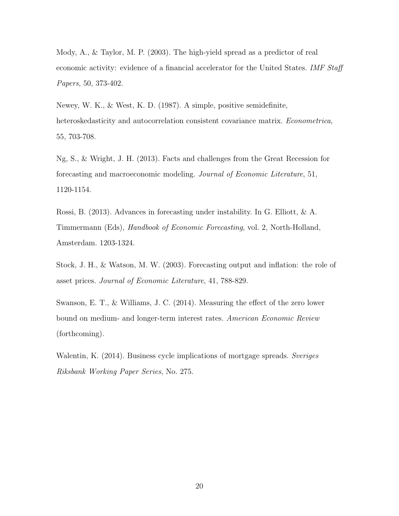Mody, A., & Taylor, M. P. (2003). The high-yield spread as a predictor of real economic activity: evidence of a financial accelerator for the United States. IMF Staff Papers, 50, 373-402.

Newey, W. K., & West, K. D. (1987). A simple, positive semidefinite, heteroskedasticity and autocorrelation consistent covariance matrix. *Econometrica*, 55, 703-708.

Ng, S., & Wright, J. H. (2013). Facts and challenges from the Great Recession for forecasting and macroeconomic modeling. Journal of Economic Literature, 51, 1120-1154.

Rossi, B. (2013). Advances in forecasting under instability. In G. Elliott, & A. Timmermann (Eds), Handbook of Economic Forecasting, vol. 2, North-Holland, Amsterdam. 1203-1324.

Stock, J. H., & Watson, M. W. (2003). Forecasting output and inflation: the role of asset prices. Journal of Economic Literature, 41, 788-829.

Swanson, E. T., & Williams, J. C. (2014). Measuring the effect of the zero lower bound on medium- and longer-term interest rates. American Economic Review (forthcoming).

Walentin, K. (2014). Business cycle implications of mortgage spreads. Sveriges Riksbank Working Paper Series, No. 275.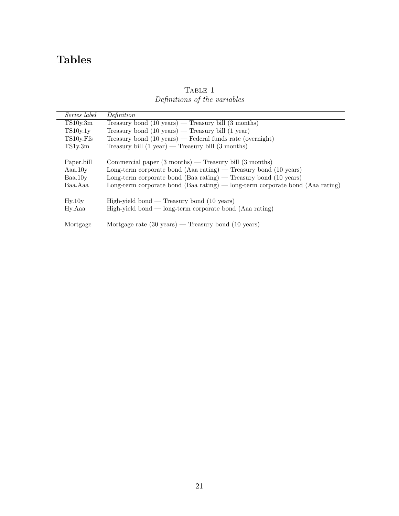## Tables

#### TABLE 1 Definitions of the variables

| Series label | Definition                                                                       |
|--------------|----------------------------------------------------------------------------------|
| TS10y.3m     | Treasury bond $(10 \text{ years})$ — Treasury bill $(3 \text{ months})$          |
| TS10y.1y     | Treasury bond $(10 \text{ years})$ — Treasury bill $(1 \text{ year})$            |
| TS10y.Ffs    | Treasury bond $(10 \text{ years})$ - Federal funds rate (overnight)              |
| TS1y.3m      | Treasury bill $(1$ year) — Treasury bill $(3$ months)                            |
|              |                                                                                  |
| Paper.bill   | Commercial paper $(3 \text{ months})$ — Treasury bill $(3 \text{ months})$       |
| Aaa. $10v$   | Long-term corporate bond $(Aaa rating)$ — Treasury bond $(10 years)$             |
| Baa.10y      | Long-term corporate bond (Baa rating) — Treasury bond $(10 \text{ years})$       |
| Baa.Aaa      | Long-term corporate bond (Baa rating) — $\log$ -term corporate bond (Aaa rating) |
|              |                                                                                  |
| Hy.10y       | $High$ -yield bond — Treasury bond $(10 \text{ years})$                          |
| Hy.Aaa       | $High$ -yield bond $-$ long-term corporate bond (Aaa rating)                     |
|              |                                                                                  |
| Mortgage     | Mortgage rate $(30 \text{ years})$ – Treasury bond $(10 \text{ years})$          |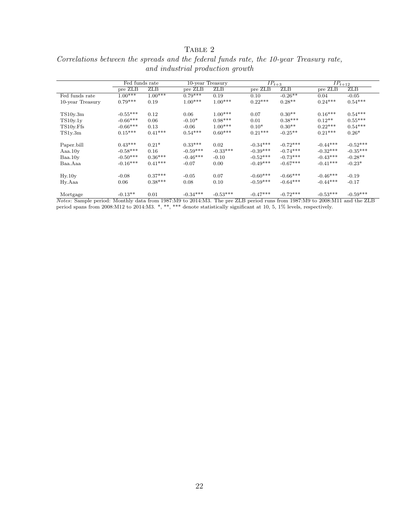#### TABLE 2

Correlations between the spreads and the federal funds rate, the 10-year Treasury rate, and industrial production growth

|                  | Fed funds rate              |            | 10-year Treasury |            | $IP_{t+3}$                  |            | $IP_{t+12}$ |            |  |
|------------------|-----------------------------|------------|------------------|------------|-----------------------------|------------|-------------|------------|--|
|                  | $\overline{\text{pre ZLB}}$ | <b>ZLB</b> | pre ZLB          | ZLB        | $\overline{\text{pre ZLB}}$ | ZLB        | pre ZLB     | ZLB        |  |
| Fed funds rate   | $1.00***$                   | $1.00***$  | $0.79***$        | 0.19       | 0.10                        | $-0.26**$  | 0.04        | $-0.05$    |  |
| 10-year Treasury | $0.79***$                   | 0.19       | $1.00***$        | $1.00***$  | $0.22***$                   | $0.28**$   | $0.24***$   | $0.54***$  |  |
|                  |                             |            |                  |            |                             |            |             |            |  |
| TS10y.3m         | $-0.55***$                  | 0.12       | 0.06             | $1.00***$  | 0.07                        | $0.30**$   | $0.16***$   | $0.54***$  |  |
| TS10v.1v         | $-0.66***$                  | 0.06       | $-0.10*$         | $0.98***$  | 0.01                        | $0.38***$  | $0.12**$    | $0.55***$  |  |
| TS10y.Ffs        | $-0.66***$                  | 0.13       | $-0.06$          | $1.00***$  | $0.10*$                     | $0.30**$   | $0.22***$   | $0.54***$  |  |
| TS1y.3m          | $0.15***$                   | $0.41***$  | $0.54***$        | $0.60***$  | $0.21***$                   | $-0.25**$  | $0.21***$   | $0.26*$    |  |
|                  |                             |            |                  |            |                             |            |             |            |  |
| Paper.bill       | $0.43***$                   | $0.21*$    | $0.33***$        | 0.02       | $-0.34***$                  | $-0.72***$ | $-0.44***$  | $-0.52***$ |  |
| Aaa. $10y$       | $-0.58***$                  | 0.16       | $-0.59***$       | $-0.33***$ | $-0.39***$                  | $-0.74***$ | $-0.32***$  | $-0.35***$ |  |
| Baa.10y          | $-0.50***$                  | $0.36***$  | $-0.46***$       | $-0.10$    | $-0.52***$                  | $-0.73***$ | $-0.43***$  | $-0.28**$  |  |
| Baa.Aaa          | $-0.16***$                  | $0.41***$  | $-0.07$          | 0.00       | $-0.49***$                  | $-0.67***$ | $-0.41***$  | $-0.23*$   |  |
|                  |                             |            |                  |            |                             |            |             |            |  |
| Hy.10y           | $-0.08$                     | $0.37***$  | $-0.05$          | 0.07       | $-0.60***$                  | $-0.66***$ | $-0.46***$  | $-0.19$    |  |
| Hy.Aaa           | 0.06                        | $0.38***$  | 0.08             | 0.10       | $-0.59***$                  | $-0.64***$ | $-0.44***$  | $-0.17$    |  |
|                  |                             |            |                  |            |                             |            |             |            |  |
| Mortgage         | $-0.13**$                   | 0.01       | $-0.34***$       | $-0.53***$ | $-0.47***$                  | $-0.72***$ | $-0.53***$  | $-0.59***$ |  |
|                  |                             |            |                  |            |                             |            |             |            |  |

Notes: Sample period: Monthly data from 1987:M9 to 2014:M3. The pre ZLB period runs from 1987:M9 to 2008:M11 and the ZLB period spans from 2008:M12 to 2014:M3. \*, \*\*, \*\*\* denote statistically significant at 10, 5, 1% levels, respectively.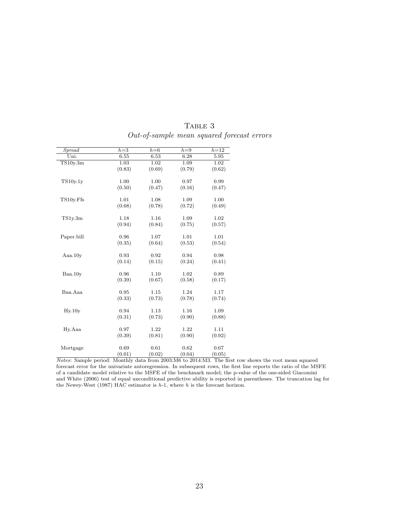| $S$ <i>pread</i> | $h=3$  | $h = 6$ | $h=9$  | $\overline{h=12}$ |
|------------------|--------|---------|--------|-------------------|
| Uni.             | 6.55   | 6.53    | 6.28   | 5.95              |
| TS10v.3m         | 1.03   | 1.02    | 1.09   | 1.02              |
|                  | (0.83) | (0.69)  | (0.79) | (0.62)            |
| TS10y.1y         | 1.00   | 1.00    | 0.97   | 0.99              |
|                  | (0.50) | (0.47)  | (0.16) | (0.47)            |
| TS10y.Ffs        | 1.01   | 1.08    | 1.09   | 1.00              |
|                  | (0.68) | (0.78)  | (0.72) | (0.49)            |
| TS1y.3m          | 1.18   | 1.16    | 1.09   | 1.02              |
|                  | (0.94) | (0.84)  | (0.75) | (0.57)            |
| Paper.bill       | 0.96   | 1.07    | 1.01   | 1.01              |
|                  | (0.35) | (0.64)  | (0.53) | (0.54)            |
| Aaa. $10y$       | 0.93   | 0.92    | 0.94   | 0.98              |
|                  | (0.14) | (0.15)  | (0.24) | (0.41)            |
| Baa.10y          | 0.96   | 1.10    | 1.02   | 0.89              |
|                  | (0.39) | (0.67)  | (0.58) | (0.17)            |
| Baa.Aaa          | 0.95   | 1.15    | 1.24   | 1.17              |
|                  | (0.33) | (0.73)  | (0.78) | (0.74)            |
| Hy.10y           | 0.94   | 1.13    | 1.16   | 1.09              |
|                  | (0.31) | (0.73)  | (0.90) | (0.88)            |
| Hy.Aaa           | 0.97   | 1.22    | 1.22   | 1.11              |
|                  | (0.39) | (0.81)  | (0.90) | (0.92)            |
| Mortgage         | 0.69   | 0.61    | 0.62   | 0.67              |
|                  | (0.01) | (0.02)  | (0.04) | (0.05)            |

TABLE 3 Out-of-sample mean squared forecast errors

Notes: Sample period: Monthly data from 2003:M6 to 2014:M3. The first row shows the root mean squared forecast error for the univariate autoregression. In subsequent rows, the first line reports the ratio of the MSFE of a candidate model relative to the MSFE of the benchmark model; the p-value of the one-sided Giacomini and White (2006) test of equal unconditional predictive ability is reported in parentheses. The truncation lag for the Newey-West (1987) HAC estimator is  $h-1$ , where  $h$  is the forecast horizon.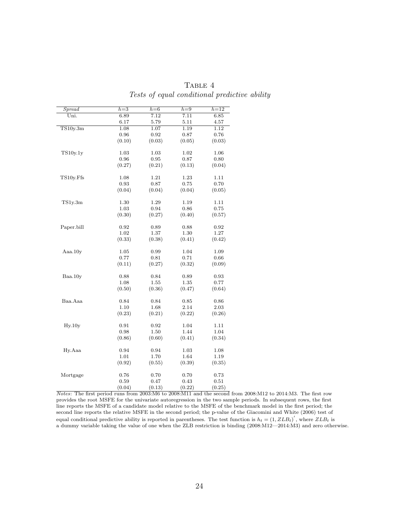| Spread     | $h=3$    | $h=6$  | $h=9$    | $h=12$ |
|------------|----------|--------|----------|--------|
| Uni.       | 6.89     | 7.12   | 7.11     | 6.85   |
|            | 6.17     | 5.79   | 5.11     | 4.57   |
| TS10y.3m   | 1.08     | 1.07   | 1.19     | 1.12   |
|            | 0.96     | 0.92   | 0.87     | 0.76   |
|            | (0.10)   | (0.03) | (0.05)   | (0.03) |
| TS10y.1y   | 1.03     | 1.03   | 1.02     | 1.06   |
|            | 0.96     | 0.95   | 0.87     | 0.80   |
|            | (0.27)   | (0.21) | (0.13)   | (0.04) |
| TS10y.Ffs  | 1.08     | 1.21   | 1.23     | 1.11   |
|            | 0.93     | 0.87   | 0.75     | 0.70   |
|            | (0.04)   | (0.04) | (0.04)   | (0.05) |
| TS1y.3m    | $1.30\,$ | 1.29   | 1.19     | 1.11   |
|            | 1.03     | 0.94   | 0.86     | 0.75   |
|            | (0.30)   | (0.27) | (0.40)   | (0.57) |
| Paper.bill | 0.92     | 0.89   | 0.88     | 0.92   |
|            | 1.02     | 1.37   | $1.30\,$ | 1.27   |
|            | (0.33)   | (0.38) | (0.41)   | (0.42) |
| Aaa. $10y$ | 1.05     | 0.99   | 1.04     | 1.09   |
|            | 0.77     | 0.81   | 0.71     | 0.66   |
|            | (0.11)   | (0.27) | (0.32)   | (0.09) |
| Baa.10y    | 0.88     | 0.84   | 0.89     | 0.93   |
|            | 1.08     | 1.55   | 1.35     | 0.77   |
|            | (0.50)   | (0.36) | (0.47)   | (0.64) |
| Baa.Aaa    | 0.84     | 0.84   | 0.85     | 0.86   |
|            | 1.10     | 1.68   | 2.14     | 2.03   |
|            | (0.23)   | (0.21) | (0.22)   | (0.26) |
| Hy.10y     | 0.91     | 0.92   | 1.04     | 1.11   |
|            | 0.98     | 1.50   | 1.44     | 1.04   |
|            | (0.86)   | (0.60) | (0.41)   | (0.34) |
| Hy.Aaa     | 0.94     | 0.94   | 1.03     | 1.08   |
|            | 1.01     | 1.70   | 1.64     | 1.19   |
|            | (0.92)   | (0.55) | (0.39)   | (0.35) |
| Mortgage   | 0.76     | 0.70   | 0.70     | 0.73   |
|            | 0.59     | 0.47   | 0.43     | 0.51   |
|            | (0.04)   | (0.13) | (0.22)   | (0.25) |

TABLE 4 Tests of equal conditional predictive ability

Notes: The first period runs from 2003:M6 to 2008:M11 and the second from 2008:M12 to 2014:M3. The first row provides the root MSFE for the univariate autoregression in the two sample periods. In subsequent rows, the first line reports the MSFE of a candidate model relative to the MSFE of the benchmark model in the first period; the second line reports the relative MSFE in the second period; the p-value of the Giacomini and White (2006) test of equal conditional predictive ability is reported in parentheses. The test function is  $h_t = (1, ZLB_t)'$ , where  $ZLB_t$  is a dummy variable taking the value of one when the ZLB restriction is binding (2008:M12—2014:M3) and zero otherwise.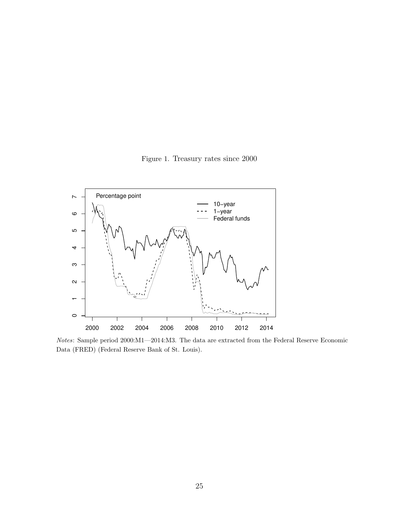Figure 1. Treasury rates since 2000



Notes: Sample period 2000:M1—2014:M3. The data are extracted from the Federal Reserve Economic Data (FRED) (Federal Reserve Bank of St. Louis).